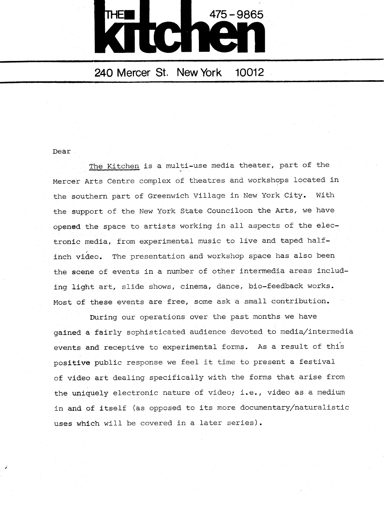

## 240 Mercer St. New York 10012

## Dear

The kitchen is a multi-use media theater, part of the Mercer Arts Centre complex of theatres and workshops located in the southern part of Greenwich Village in New York City. With the support of the New York State Counciloon the Arts, we have opened the space to artists working in all aspects of the electronic media, from experimental music to live and taped halfinch video. The presentation and workshop space has also been the scene of events in a number of other intermedia areas including light art, slide shows, cinema, dance, bio-feedback works . Most of these events are free, some ask a small contribution.

During our operations over the past months we have gained a fairly sophisticated audience devoted to media/intermedia events and receptive to experimental forms. As a result of this positive public response we feel it time to present a festival of video art dealing specifically with the forms that arise from the uniquely electronic nature of video; i.e., video as a medium in and of itself (as opposed to its more documentary/naturalistic uses which will be covered in a later series) .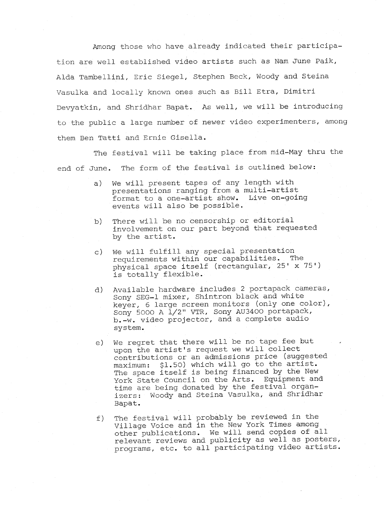Among those who have already indicated their participation are well established video artists such as Nam June Paik, Alda Tambellini, Eric Siegel, Stephen Beck, Woody and Steina Vasulka and locally known ones such as Bill Etra, Dimitri Devyatkin, and Shridhar Bapat. As well, we will be introducing to the public a large number of newer video experimenters, among them Ben Tatti and Ernie Gisella .

The festival will be taking place from mid-May thru the end of June. The form of the festival is outlined below:

- a) We will present tapes of any length with presentations ranging from a multi-artist<br>format to a one-artist show. Live on-going format to a one-artist show. events will also be possible .
- b) There will be no censorship or editorial involvement on our part beyond that requested by the artist.
- c) We will fulfill any special presentation requirements within our capabilities. The physical space itself (rectangular, 25' x 75') is totally flexible.
- d) Available hardware includes <sup>2</sup> portapack cameras, Sony SEG-1 mixer, Shintron black and white keyer, <sup>6</sup> large screen monitors (only one color), Sony 5000 A 1/2" VTR, Sony AU3400 portapack,  $b. -w.$  video projector, and a complete audio system .
- e) We regret that there will be no tape fee but upon the artist's request we will collect contributions or an admissions price (suggested maximum: \$1.50) which will go to the artist. The space itself is being financed by the New York State Council on the Arts. Equipment and time are being donated by the festival organizers: Woody and Steina Vasulka, and Shridhar Bapat.
- f) The festival will probably be reviewed in the Village Voice and in the New York Times among other publications. We will send copies of all relevant reviews and publicity as well as posters, programs, etc. to all participating video artists .